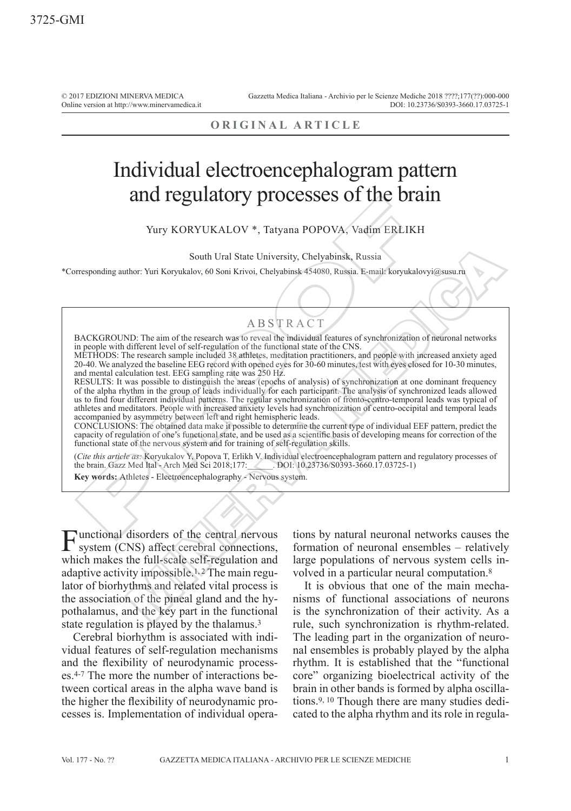© 2017 EDIZIONI MINERVA MEDICA Online version at http://www.minervamedica.it Gazzetta Medica Italiana - Archivio per le Scienze Mediche 2018 ????;177(??):000-000 DOI: 10.23736/S0393-3660.17.03725-1

### **ORIGINAL ARTICLE**

# Individual electroencephalogram pattern and regulatory processes of the brain

Yury KORYUKALOV \*, Tatyana POPOVA, Vadim ERLIKH

South Ural State University, Chelyabinsk, Russia

\*Corresponding author: Yuri Koryukalov, 60 Soni Krivoi, Chelyabinsk 454080, Russia. E-mail: koryukalovyi@susu.ru

## **ABSTRACT**

BACKGROUND: The aim of the research was to reveal the individual features of synchronization of neuronal networks in people with different level of self-regulation of the functional state of the CNS.

METHODS: The research sample included 38 athletes, meditation practitioners, and people with increased anxiety aged 20-40. We analyzed the baseline EEG record with opened eyes for 30-60 minutes, test with eyes closed for 10-30 minutes, and mental calculation test. EEG sampling rate was 250 Hz.

RESULTS: It was possible to distinguish the areas (epochs of analysis) of synchronization at one dominant frequency of the alpha rhythm in the group of leads individually for each participant. The analysis of synchronized leads allowed us to find four different individual patterns. The regular synchronization of fronto-centro-temporal leads was typical of athletes and meditators. People with increased anxiety levels had synchronization of centro-occipital and temporal leads accompanied by asymmetry between left and right hemispheric leads. **EXERCISE AND MANUAL CONSULTS AND MANUAL SERVICES SERVICES SUPPLATE SOURCE THE AND MANUAL SOURCE SUPPLATE SOURCE SUPPLATE SUPPLATE SUPPLATE SUPPLATE SUPPLATE SUPPLATE AND MANUAL STATE SUPPLATE AND A SUPPLATE AND A SUPPLAT** South Ural State University, Chelyabinsk, Russia<br>
Mohr. Yuri Koryukalov, 60 Soni Krivoi, Chelyabinsk 454080, Russia. E-mail koryukalovyi@susu.ra<br>
MD. The aim of the research was to reveal the including features of synchro

CONCLUSIONS: The obtained data make it possible to determine the current type of individual EEF pattern, predict the capacity of regulation of one's functional state, and be used as a scientific basis of developing means for correction of the functional state of the nervous system and for training of self-regulation skills.

(*Cite this article as:* Koryukalov Y, Popova T, Erlikh V. Individual electroencephalogram pattern and regulatory processes of the brain. Gazz Med Ital - Arch Med Sci 2018;177:\_\_\_\_\_\_. DOI: 10.23736/S0393-3660.17.03725-1) the brain. Gazz Med Ital - Arch Med Sci 2018;177:

**Key words:** Athletes - Electroencephalography - Nervous system.

Functional disorders of the central nervous system (CNS) affect cerebral connections, which makes the full-scale self-regulation and adaptive activity impossible.1, 2 The main regulator of biorhythms and related vital process is the association of the pineal gland and the hypothalamus, and the key part in the functional state regulation is played by the thalamus.3

Cerebral biorhythm is associated with individual features of self-regulation mechanisms and the flexibility of neurodynamic processes.4-7 The more the number of interactions between cortical areas in the alpha wave band is the higher the flexibility of neurodynamic processes is. Implementation of individual operations by natural neuronal networks causes the formation of neuronal ensembles – relatively large populations of nervous system cells involved in a particular neural computation.8

It is obvious that one of the main mechanisms of functional associations of neurons is the synchronization of their activity. As a rule, such synchronization is rhythm-related. The leading part in the organization of neuronal ensembles is probably played by the alpha rhythm. It is established that the "functional core" organizing bioelectrical activity of the brain in other bands is formed by alpha oscillations.9, 10 Though there are many studies dedicated to the alpha rhythm and its role in regula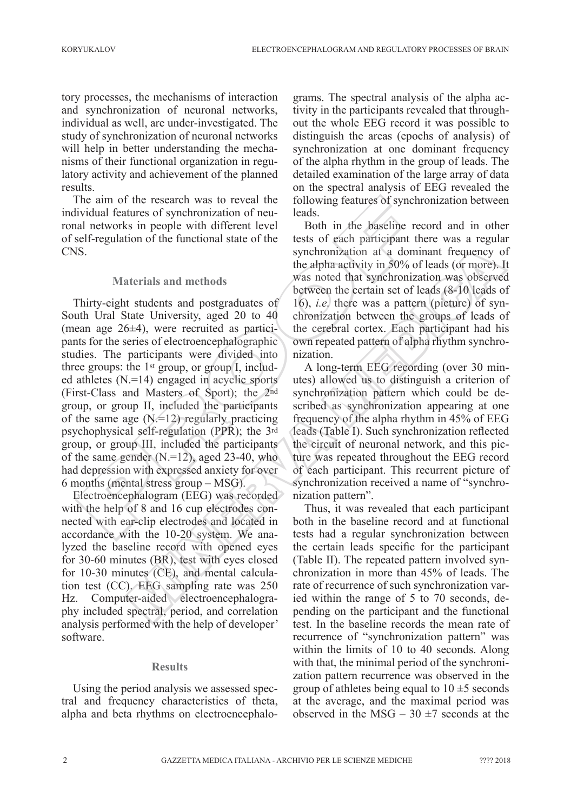tory processes, the mechanisms of interaction and synchronization of neuronal networks, individual as well, are under-investigated. The study of synchronization of neuronal networks will help in better understanding the mechanisms of their functional organization in regulatory activity and achievement of the planned results.

The aim of the research was to reveal the individual features of synchronization of neuronal networks in people with different level of self-regulation of the functional state of the CNS.

#### **Materials and methods**

Thirty-eight students and postgraduates of South Ural State University, aged 20 to 40 (mean age 26±4), were recruited as participants for the series of electroencephalographic studies. The participants were divided into three groups: the 1st group, or group I, included athletes (N.=14) engaged in acyclic sports (First-Class and Masters of Sport); the 2nd group, or group II, included the participants of the same age  $(N=12)$  regularly practicing psychophysical self-regulation (PPR); the 3rd group, or group III, included the participants of the same gender  $(N=12)$ , aged 23-40, who had depression with expressed anxiety for over 6 months (mental stress group – MSG). he aim of the research was to reveal the following leatures of synch<br>
ividual features of synchronization of neu-<br>
leads.<br>
all networks in people with different level<br>
level Both in the baseline re<br>
lef-regulation of the synchronization at a dominant frequency of the alpha activity in 50% of leads (of more).<br>
the alpha activity in 50% of leads (of more).<br>
the students and postgraduates of 16%, i.e. there was a pattern (picture) of synchro

Electroencephalogram (EEG) was recorded with the help of 8 and 16 cup electrodes connected with ear-clip electrodes and located in accordance with the 10-20 system. We analyzed the baseline record with opened eyes for 30-60 minutes (BR), test with eyes closed for 10-30 minutes (CE), and mental calculation test (CC). EEG sampling rate was 250 Hz. Computer-aided electroencephalography included spectral, period, and correlation analysis performed with the help of developer' software.

#### **Results**

Using the period analysis we assessed spectral and frequency characteristics of theta, alpha and beta rhythms on electroencephalograms. The spectral analysis of the alpha activity in the participants revealed that throughout the whole EEG record it was possible to distinguish the areas (epochs of analysis) of synchronization at one dominant frequency of the alpha rhythm in the group of leads. The detailed examination of the large array of data on the spectral analysis of EEG revealed the following features of synchronization between leads.

Both in the baseline record and in other tests of each participant there was a regular synchronization at a dominant frequency of the alpha activity in 50% of leads (or more). It was noted that synchronization was observed between the certain set of leads (8-10 leads of 16), *i.e.* there was a pattern (picture) of synchronization between the groups of leads of the cerebral cortex. Each participant had his own repeated pattern of alpha rhythm synchronization.

A long-term EEG recording (over 30 minutes) allowed us to distinguish a criterion of synchronization pattern which could be described as synchronization appearing at one frequency of the alpha rhythm in 45% of EEG leads (Table I). Such synchronization reflected the circuit of neuronal network, and this picture was repeated throughout the EEG record of each participant. This recurrent picture of synchronization received a name of "synchronization pattern".

Thus, it was revealed that each participant both in the baseline record and at functional tests had a regular synchronization between the certain leads specific for the participant (Table II). The repeated pattern involved synchronization in more than 45% of leads. The rate of recurrence of such synchronization varied within the range of 5 to 70 seconds, depending on the participant and the functional test. In the baseline records the mean rate of recurrence of "synchronization pattern" was within the limits of 10 to 40 seconds. Along with that, the minimal period of the synchronization pattern recurrence was observed in the group of athletes being equal to  $10 \pm 5$  seconds at the average, and the maximal period was observed in the MSG –  $30 \pm 7$  seconds at the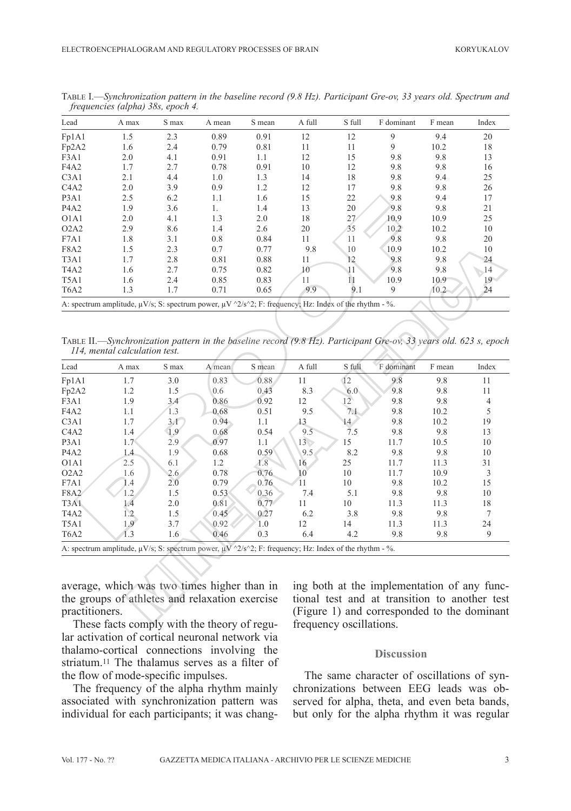| Lead                                                                                                                       | A max | S max | A mean | S mean | A full | S full | F dominant | F mean | Index |
|----------------------------------------------------------------------------------------------------------------------------|-------|-------|--------|--------|--------|--------|------------|--------|-------|
| Fp1A1                                                                                                                      | 1.5   | 2.3   | 0.89   | 0.91   | 12     | 12     | 9          | 9.4    | 20    |
| Fp2A2                                                                                                                      | 1.6   | 2.4   | 0.79   | 0.81   | 11     | 11     | 9          | 10.2   | 18    |
| F3A1                                                                                                                       | 2.0   | 4.1   | 0.91   | 1.1    | 12     | 15     | 9.8        | 9.8    | 13    |
| F <sub>4</sub> A <sub>2</sub>                                                                                              | 1.7   | 2.7   | 0.78   | 0.91   | 10     | 12     | 9.8        | 9.8    | 16    |
| C3A1                                                                                                                       | 2.1   | 4.4   | 1.0    | 1.3    | 14     | 18     | 9.8        | 9.4    | 25    |
| C4A2                                                                                                                       | 2.0   | 3.9   | 0.9    | 1.2    | 12     | 17     | 9.8        | 9.8    | 26    |
| P <sub>3</sub> A <sub>1</sub>                                                                                              | 2.5   | 6.2   | 1.1    | 1.6    | 15     | 22     | 9.8        | 9.4    | 17    |
| P <sub>4</sub> A <sub>2</sub>                                                                                              | 1.9   | 3.6   |        | 1.4    | 13     | 20     | 9.8        | 9.8    | 21    |
| O <sub>1</sub> A <sub>1</sub>                                                                                              | 2.0   | 4.1   | 1.3    | 2.0    | 18     | 27     | 10.9       | 10.9   | 25    |
| O2A2                                                                                                                       | 2.9   | 8.6   | 1.4    | 2.6    | 20     | 35     | 10.2       | 10.2   | 10    |
| F7A1                                                                                                                       | 1.8   | 3.1   | 0.8    | 0.84   | 11     | 11     | 9.8        | 9.8    | 20    |
| F8A2                                                                                                                       | 1.5   | 2.3   | 0.7    | 0.77   | 9.8    | 10     | 10.9       | 10.2   | 10    |
| T <sub>3</sub> A <sub>1</sub>                                                                                              | 1.7   | 2.8   | 0.81   | 0.88   | 11     | 12     | 9.8        | 9.8    | 24    |
| T <sub>4</sub> A <sub>2</sub>                                                                                              | 1.6   | 2.7   | 0.75   | 0.82   | 10     | 11     | 9.8        | 9.8    | 14    |
| T <sub>5</sub> A <sub>1</sub>                                                                                              | 1.6   | 2.4   | 0.85   | 0.83   | 11     | 11     | 10.9       | 10.9   | 19    |
| T <sub>6</sub> A <sub>2</sub>                                                                                              | 1.3   | 1.7   | 0.71   | 0.65   | 9.9    | 9.1    | 9          | 10.2   | 24    |
| A: spectrum amplitude, $\mu V/s$ ; S: spectrum power, $\mu V \sim 2/s \sim 2$ ; F: frequency; Hz: Index of the rhythm - %. |       |       |        |        |        |        |            |        |       |

Table I.—*Synchronization pattern in the baseline record (9.8 Hz). Participant Gre-ov, 33 years old. Spectrum and frequencies (alpha) 38s, epoch 4.*

Table II.—*Synchronization pattern in the baseline record (9.8 Hz). Participant Gre-ov, 33 years old. 623 s, epoch 114, mental calculation test.*

| P <sub>3</sub> A <sub>1</sub> | 2.5                                                                                                                        | 0.2   | 1.1                  | 1.0    | 12     | ∠∠              | 9.8                                                                                                                                         | 9.4    | $\frac{1}{2}$  |
|-------------------------------|----------------------------------------------------------------------------------------------------------------------------|-------|----------------------|--------|--------|-----------------|---------------------------------------------------------------------------------------------------------------------------------------------|--------|----------------|
| P <sub>4</sub> A <sub>2</sub> | 1.9                                                                                                                        | 3.6   | 1.                   | 1.4    | 13     | $20\,$          | 9.8                                                                                                                                         | 9.8    | 21             |
| O1A1                          | 2.0                                                                                                                        | 4.1   | 1.3                  | 2.0    | 18     | 27 <sub>2</sub> | 10.9                                                                                                                                        | 10.9   | 25             |
| O2A2                          | 2.9                                                                                                                        | 8.6   | 1.4                  | 2.6    | 20     | 35              | $10.\overline{2}$                                                                                                                           | 10.2   | 10             |
| F7A1                          | 1.8                                                                                                                        | 3.1   | 0.8                  | 0.84   | 11     | 11              | 9.8                                                                                                                                         | 9.8    | 20             |
| <b>F8A2</b>                   | 1.5                                                                                                                        | 2.3   | 0.7                  | 0.77   | 9.8    | 10              | 10.9                                                                                                                                        | 10.2   | 10             |
| T <sub>3</sub> A <sub>1</sub> | 1.7                                                                                                                        | 2.8   | 0.81                 | 0.88   | 11     | 12              | 9.8                                                                                                                                         | 9.8    | 24             |
| T <sub>4</sub> A <sub>2</sub> | 1.6                                                                                                                        | 2.7   | 0.75                 | 0.82   | 10     | 11              | 9.8                                                                                                                                         | 9.8    | 14             |
| T5A1                          | 1.6                                                                                                                        | 2.4   | 0.85                 | 0.83   | 11     | 11              | 10.9                                                                                                                                        | 10.9   | 19             |
| T <sub>6</sub> A <sub>2</sub> | 1.3                                                                                                                        | 1.7   | 0.71                 | 0.65   | 9.9    | 9.1             | 9                                                                                                                                           | 10.2   | 24             |
|                               | A: spectrum amplitude, $\mu V/s$ ; S: spectrum power, $\mu V \sim 2/s \sim 2$ ; F: frequency; Hz: Index of the rhythm - %. |       |                      |        |        |                 |                                                                                                                                             |        |                |
|                               | 114, mental calculation test.                                                                                              |       |                      |        |        |                 | TABLE II.—Synchronization pattern in the baseline record (9.8 Hz). Participant Gre-ov, 33 years old. 623 s, epoch                           |        |                |
| Lead                          | A max                                                                                                                      | S max | A mean               | S mean | A full | S full          | F dominant                                                                                                                                  | F mean | Index          |
| Fp1A1                         | 1.7                                                                                                                        | 3.0   | 0.83                 | 0.88   | 11     | $\overline{12}$ | 9.8                                                                                                                                         | 9.8    | 11             |
| Fp2A2                         | 1.2                                                                                                                        | 1.5   | 0.6                  | 0.43   | 8.3    | 6.0             | 9.8                                                                                                                                         | 9.8    | 11             |
| F3A1                          | 1.9                                                                                                                        | 3.4   | 0.86                 | 0.92   | 12     | $12^{\circ}$    | 9.8                                                                                                                                         | 9.8    | $\overline{4}$ |
| F <sub>4</sub> A <sub>2</sub> | 1.1                                                                                                                        | 1.3   | 0.68                 | 0.51   | 9.5    | 7.1             | 9.8                                                                                                                                         | 10.2   | 5              |
| C3A1                          | 1.7                                                                                                                        | 3.1   | 0.94                 | 1.1    | 13     | 14              | 9.8                                                                                                                                         | 10.2   | 19             |
| C4A2                          | 1.4                                                                                                                        | 1.9   | 0.68                 | 0.54   | 9.5    | 7.5             | 9.8                                                                                                                                         | 9.8    | 13             |
| P3A1                          | 1.7                                                                                                                        | 2.9   | 0.97                 | 1.1    | $13 -$ | 15              | 11.7                                                                                                                                        | 10.5   | 10             |
| P <sub>4</sub> A <sub>2</sub> | 1.4                                                                                                                        | 1.9   | 0.68                 | 0.59   | 9.5    | 8.2             | 9.8                                                                                                                                         | 9.8    | 10             |
| O <sub>1</sub> A <sub>1</sub> | 2.5                                                                                                                        | 6.1   | 1.2                  | 1.8    | 16     | 25              | 11.7                                                                                                                                        | 11.3   | 31             |
| O2A2                          | 1.6                                                                                                                        | 2.6   | 0.78                 | 0.76   | 10     | 10              | 11.7                                                                                                                                        | 10.9   | 3              |
| F7A1                          | 1.4                                                                                                                        | 2.0   | 0.79                 | 0.76   | 11     | 10              | 9.8                                                                                                                                         | 10.2   | 15             |
| <b>F8A2</b>                   | 1.2                                                                                                                        | 1.5   | 0.53                 | 0.36   | 7.4    | 5.1             | 9.8                                                                                                                                         | 9.8    | 10             |
| T <sub>3</sub> A <sub>1</sub> | 1.4                                                                                                                        | 2.0   | 0.81                 | 0.77   | 11     | 10              | 11.3                                                                                                                                        | 11.3   | 18             |
| T <sub>4</sub> A <sub>2</sub> | 1.2                                                                                                                        | 1.5   | 0.45                 | 0.27   | 6.2    | 3.8             | 9.8                                                                                                                                         | 9.8    | $\tau$         |
| T <sub>5</sub> A <sub>1</sub> | 1.9                                                                                                                        | 3.7   | 0.92                 | 1.0    | 12     | 14              | 11.3                                                                                                                                        | 11.3   | 24             |
| T <sub>6</sub> A <sub>2</sub> | 1.3                                                                                                                        | 1.6   | 0.46                 | 0.3    | 6.4    | 4.2             | 9.8                                                                                                                                         | 9.8    | 9              |
|                               | A: spectrum amplitude, $\mu V/s$ ; S: spectrum power, $\mu V \sim 2/s \sim 2$ ; F: frequency; Hz: Index of the rhythm - %. |       |                      |        |        |                 |                                                                                                                                             |        |                |
| practitioners.                | average, which was two times higher than in<br>the groups of athletes and relaxation exercise                              |       | 17. IL 19. IL 19. IL | $\sim$ |        |                 | ing both at the implementation of any func-<br>tional test and at transition to another test<br>(Figure 1) and corresponded to the dominant |        |                |

These facts comply with the theory of regular activation of cortical neuronal network via thalamo-cortical connections involving the striatum.11 The thalamus serves as a filter of the flow of mode-specific impulses.

The frequency of the alpha rhythm mainly associated with synchronization pattern was individual for each participants; it was changing both at the implementation of any functional test and at transition to another test (Figure 1) and corresponded to the dominant frequency oscillations.

#### **Discussion**

The same character of oscillations of synchronizations between EEG leads was observed for alpha, theta, and even beta bands, but only for the alpha rhythm it was regular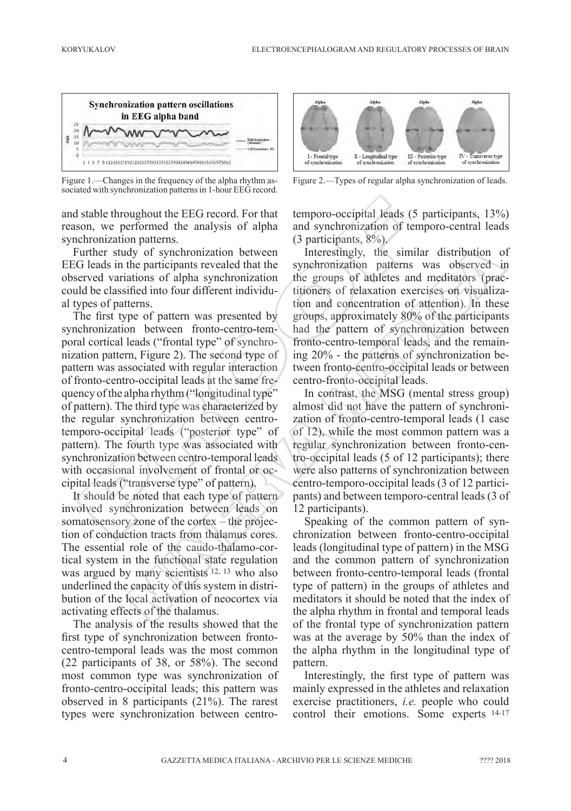

Figure 1.—Changes in the frequency of the alpha rhythm associated with synchronization patterns in 1-hour EEG record.

and stable throughout the EEG record. For that reason, we performed the analysis of alpha synchronization patterns.

Further study of synchronization between EEG leads in the participants revealed that the observed variations of alpha synchronization could be classified into four different individual types of patterns.

The first type of pattern was presented by synchronization between fronto-centro-temporal cortical leads ("frontal type" of synchronization pattern, Figure 2). The second type of pattern was associated with regular interaction of fronto-centro-occipital leads at the same frequency of the alpha rhythm ("longitudinal type" of pattern). The third type was characterized by the regular synchronization between centrotemporo-occipital leads ("posterior type" of pattern). The fourth type was associated with synchronization between centro-temporal leads with occasional involvement of frontal or occipital leads ("transverse type" of pattern). stable throughout the EEG record. For that<br>
is the temporo-occipital leads (5<br>
con, we performed the analysis of alpha and synchronization of ter<br>
chronization patterns. (3) participants, 8%)<br>
in the simulation between<br>
i

It should be noted that each type of pattern involved synchronization between leads on somatosensory zone of the cortex – the projection of conduction tracts from thalamus cores. The essential role of the caudo-thalamo-cortical system in the functional state regulation was argued by many scientists <sup>12, 13</sup> who also underlined the capacity of this system in distribution of the local activation of neocortex via activating effects of the thalamus.

The analysis of the results showed that the first type of synchronization between frontocentro-temporal leads was the most common (22 participants of 38, or 58%). The second most common type was synchronization of fronto-centro-occipital leads; this pattern was observed in 8 participants (21%). The rarest types were synchronization between centro-



Figure 2.—Types of regular alpha synchronization of leads.

temporo-occipital leads (5 participants, 13%) and synchronization of temporo-central leads (3 participants, 8%).

Interestingly, the similar distribution of synchronization patterns was observed in the groups of athletes and meditators (practitioners of relaxation exercises on visualization and concentration of attention). In these groups, approximately 80% of the participants had the pattern of synchronization between fronto-centro-temporal leads, and the remaining 20% - the patterns of synchronization between fronto-centro-occipital leads or between centro-fronto-occipital leads. dy of synchronization between Interestingly, the similar distribution of<br>the participants revealed that the synchronization participants was observed in<br>tations of alpha synchronization the groups of adiletes and meditator

In contrast, the MSG (mental stress group) almost did not have the pattern of synchronization of fronto-centro-temporal leads (1 case of 12), while the most common pattern was a regular synchronization between fronto-centro-occipital leads (5 of 12 participants); there were also patterns of synchronization between centro-temporo-occipital leads (3 of 12 participants) and between temporo-central leads (3 of 12 participants).

Speaking of the common pattern of synchronization between fronto-centro-occipital leads (longitudinal type of pattern) in the MSG and the common pattern of synchronization between fronto-centro-temporal leads (frontal type of pattern) in the groups of athletes and meditators it should be noted that the index of the alpha rhythm in frontal and temporal leads of the frontal type of synchronization pattern was at the average by 50% than the index of the alpha rhythm in the longitudinal type of pattern.

Interestingly, the first type of pattern was mainly expressed in the athletes and relaxation exercise practitioners, *i.e.* people who could control their emotions. Some experts 14-17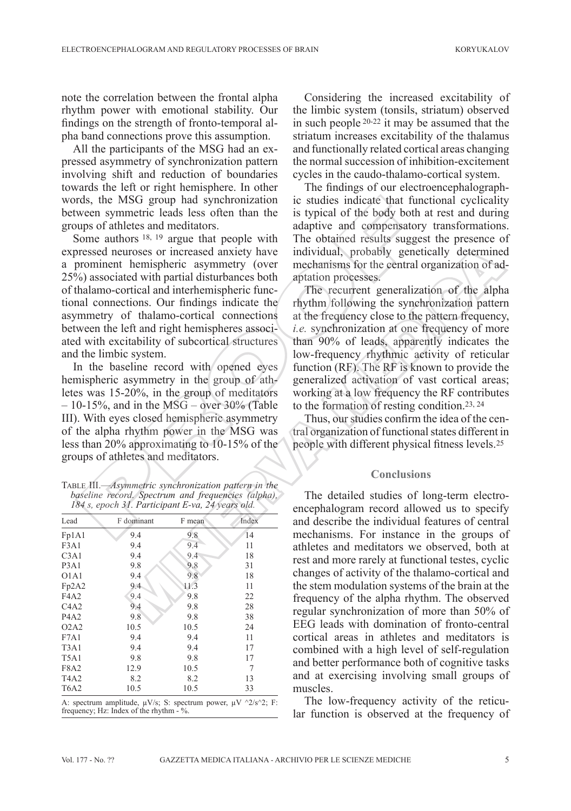note the correlation between the frontal alpha rhythm power with emotional stability. Our findings on the strength of fronto-temporal alpha band connections prove this assumption.

All the participants of the MSG had an expressed asymmetry of synchronization pattern involving shift and reduction of boundaries towards the left or right hemisphere. In other words, the MSG group had synchronization between symmetric leads less often than the groups of athletes and meditators.

Some authors <sup>18, 19</sup> argue that people with expressed neuroses or increased anxiety have a prominent hemispheric asymmetry (over 25%) associated with partial disturbances both of thalamo-cortical and interhemispheric functional connections. Our findings indicate the asymmetry of thalamo-cortical connections between the left and right hemispheres associated with excitability of subcortical structures and the limbic system. rds, the MSG group had synchronization ic studies indicate that tu<br>
wen symmetric leads less often than the is typical of the body both<br>
ups of athletes and meditators.<br>
subspace almost a subspace increased anxiety have i

In the baseline record with opened eyes hemispheric asymmetry in the group of athletes was 15-20%, in the group of meditators  $-10-15\%$ , and in the MSG – over 30% (Table III). With eyes closed hemispheric asymmetry of the alpha rhythm power in the MSG was less than 20% approximating to 10-15% of the groups of athletes and meditators.

Table III.—*Asymmetric synchronization pattern in the baseline record. Spectrum and frequencies (alpha), 184 s, epoch 31. Participant E-va, 24 years old.*

| Index<br>Lead<br>F dominant<br>F mean<br>9.4<br>14<br>Fp1A1<br>9.8<br>9.4<br>11<br>9.4<br>F3A1 |  |
|------------------------------------------------------------------------------------------------|--|
|                                                                                                |  |
|                                                                                                |  |
|                                                                                                |  |
| 9.4<br>9.4<br>18<br>C <sub>3</sub> A1                                                          |  |
| 9.8<br>9.8<br>P <sub>3</sub> A <sub>1</sub><br>31                                              |  |
| 9.8<br>9.4<br>18<br>O <sub>1</sub> A <sub>1</sub>                                              |  |
| 9.4<br>11.3<br>11<br>Fp2A2                                                                     |  |
| 9.4<br>9.8<br>22<br>F4A2                                                                       |  |
| 9.4<br>9.8<br>28<br>C <sub>4</sub> A <sub>2</sub>                                              |  |
| 9.8<br>9.8<br>P <sub>4</sub> A <sub>2</sub><br>38                                              |  |
| 10.5<br>10.5<br>O2A2<br>24                                                                     |  |
| 11<br>9.4<br>9.4<br>F7A1                                                                       |  |
| 17<br>T <sub>3</sub> A <sub>1</sub><br>9.4<br>9.4                                              |  |
| 9.8<br>9.8<br>17<br>T <sub>5</sub> A <sub>1</sub>                                              |  |
| 7<br>10.5<br>12.9<br>F8A2                                                                      |  |
| 13<br>T <sub>4</sub> A <sub>2</sub><br>8.2<br>8.2                                              |  |
| 10.5<br>10.5<br>T <sub>6</sub> A <sub>2</sub><br>33                                            |  |

A: spectrum amplitude,  $\mu$ V/s; S: spectrum power,  $\mu$ V  $\frac{\Delta}{s}$  2; F: frequency; Hz: Index of the rhythm - %.

Considering the increased excitability of the limbic system (tonsils, striatum) observed in such people 20-22 it may be assumed that the striatum increases excitability of the thalamus and functionally related cortical areas changing the normal succession of inhibition-excitement cycles in the caudo-thalamo-cortical system.

The findings of our electroencephalographic studies indicate that functional cyclicality is typical of the body both at rest and during adaptive and compensatory transformations. The obtained results suggest the presence of individual, probably genetically determined mechanisms for the central organization of adaptation processes.

The recurrent generalization of the alpha rhythm following the synchronization pattern at the frequency close to the pattern frequency, *i.e.* synchronization at one frequency of more than 90% of leads, apparently indicates the low-frequency rhythmic activity of reticular function (RF). The RF is known to provide the generalized activation of vast cortical areas; working at a low frequency the RF contributes to the formation of resting condition.23, 24

Thus, our studies confirm the idea of the central organization of functional states different in people with different physical fitness levels.25

#### **Conclusions**

The detailed studies of long-term electroencephalogram record allowed us to specify and describe the individual features of central mechanisms. For instance in the groups of athletes and meditators we observed, both at rest and more rarely at functional testes, cyclic changes of activity of the thalamo-cortical and the stem modulation systems of the brain at the frequency of the alpha rhythm. The observed regular synchronization of more than 50% of EEG leads with domination of fronto-central cortical areas in athletes and meditators is combined with a high level of self-regulation and better performance both of cognitive tasks and at exercising involving small groups of muscles. troses or increased anxiety have individual, probably genetically determine<br>hemispheric asymmetry (over mechanisms for the central organization of a<br>del with partial disturbances both aptation processes.<br>This recurrent ge

> The low-frequency activity of the reticular function is observed at the frequency of